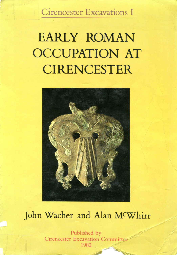**Cirencester Excavations I** 

# **EARLY ROMAN OCCUPATION AT CIRENCESTER**



# John Wacher and Alan McWhirr

Published by **Cirencester Excavation Committee** 1982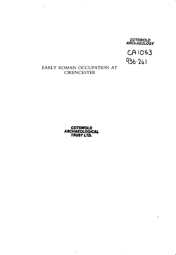COTSWOLD **ARChAEOLOGY** CA1053 936.241

 $\mathcal{L}$ 

•

 $\hat{\pmb{\sigma}}$ 

 $\hat{\mathbf{v}}$ 

# EARLY ROMAN OCCUPATION AT **CIRENCESTER**

 $\ddot{\phantom{a}}$ 

 $\ddot{\phantom{a}}$  .

**COTSWOLO ARCHAEOLOGICAL** *TRUST LTD.*

k.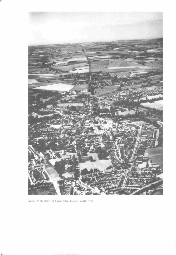

Aerial photograph of Cirencester, looking north-west.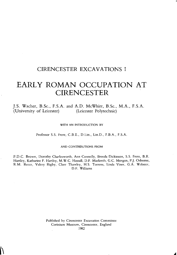# **CIRENCESTER EXCAVATIONS I**

# **EARLY ROMAN OCCUPATION AT CIRENCESTER**

].S. Wacher, B.Se., F.S.A. and A.D. McWhirr, B.Se., M.A., F.S.A. (University of Leicester) (Leicester Polytechnic)

WITH AN INTRODUCTION BY

Professor 5.5. Frere, C.B.E., D.Litt., Litt.D., F.B.A., F.5.A.

AND CONTRIBUTIONS FROM

P.D.C. Brown, Dorothy Charlesworth, Ann Connolly, Brenda Dickinson, 5.5. Frere, B.R. Hartley, Katharine F. Hartley, M.W.C. Hassall, D.F. Mackreth, G.c. Morgan, P.J. Osborne, R.M. Reece, Valery Rigby, Clare Thawley, H.5. Torrens, Linda Viner, G.A. Webster, D.F. Williams

> Published by Cirencester Excavation Committee Corinium Museum, Cirencester, England 1982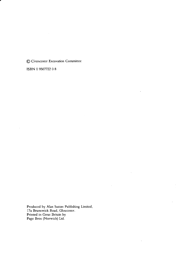© Circncester Excavation Committee

 $\sim 10^7$ 

 $\sim$   $\sim$ 

 $\bar{\beta}$ 

 $\mathcal{L}^{\text{max}}$ 

ISBN 0 9507722 0 8

 $\mathcal{A}$ 

•

Produced by Alan Sutton Publishing Limited, 17a Brunswick Road, Gloucester. Printed in Great Britain by Page Bros (Norwich) Ltd.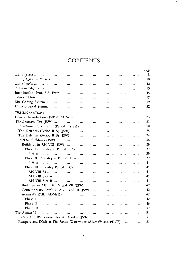# **CONTENTS**

Ÿ

|                                                                                                                                                                                                                                                                                                                                                                                          |                                                                          |                  |                                        |                               |                                                |                 |                          |                      | Page |
|------------------------------------------------------------------------------------------------------------------------------------------------------------------------------------------------------------------------------------------------------------------------------------------------------------------------------------------------------------------------------------------|--------------------------------------------------------------------------|------------------|----------------------------------------|-------------------------------|------------------------------------------------|-----------------|--------------------------|----------------------|------|
|                                                                                                                                                                                                                                                                                                                                                                                          |                                                                          |                  |                                        | $\ldots$                      |                                                |                 |                          |                      | 8    |
| List of figures in the text $\ldots$ $\ldots$ $\ldots$<br>$\sim 10$                                                                                                                                                                                                                                                                                                                      | $\sim 100$                                                               | $\ddotsc$        | $\ldots$                               | $\sim$ $\sim$                 | $\ddotsc$                                      | $\cdots$        | $\cdots$                 | $\cdots$             | 10   |
| <i>List of tables</i><br>$\sim$ 444.<br>$\sim 10^{-1}$<br>$\ldots$                                                                                                                                                                                                                                                                                                                       | $\ldots$                                                                 |                  | $\ddotsc$                              | $\ddotsc$                     |                                                |                 |                          |                      | 12   |
| Acknowledgements<br>$\mathbf{1}$ , $\mathbf{1}$<br>$\mathcal{L}(\mathcal{L})$                                                                                                                                                                                                                                                                                                            | $\ddotsc$                                                                | $\ddotsc$        | $\ddotsc$                              | $\ddotsc$                     | .                                              |                 | $\ddotsc$                |                      | 13   |
| Introduction: Prof. S.S. Frere<br>$\ddotsc$<br>$\cdots$                                                                                                                                                                                                                                                                                                                                  | $\ddotsc$                                                                | $\ddotsc$        | $\ddotsc$                              | $\ddotsc$                     | $\cdots$                                       |                 | $\cdots$                 |                      | 15   |
| Editors' Note<br>المحجاب المحجاب المعاونة المتحجرات<br>$\sim 100$<br>$\cdots$                                                                                                                                                                                                                                                                                                            | $\ddotsc$                                                                | $\ddotsc$        | $\ddotsc$                              | $\cdots$                      | $\cdots$                                       | $\sim 10$       | $\ddotsc$                |                      | 17   |
| Site Coding System<br>$\mathbf{1.11}$                                                                                                                                                                                                                                                                                                                                                    | $\ddotsc$                                                                | $\sim$           | $\ddots$                               | $\ddotsc$                     | .                                              |                 |                          |                      | 19   |
| Chronological Summary                                                                                                                                                                                                                                                                                                                                                                    |                                                                          |                  |                                        | $\sim 10^{-10}$               |                                                |                 | <b>ARE ARE ARE</b>       |                      | 22   |
| THE EXCAVATIONS                                                                                                                                                                                                                                                                                                                                                                          |                                                                          |                  |                                        |                               |                                                |                 |                          |                      |      |
| General Introduction (JSW & ADMcW)                                                                                                                                                                                                                                                                                                                                                       |                                                                          |                  |                                        |                               | $\ddotsc$                                      |                 |                          |                      | 23   |
| The Leaholme Fort (JSW)                                                                                                                                                                                                                                                                                                                                                                  |                                                                          |                  | $\sim 100$ km $^{-1}$                  | $\sim 10$                     | $\mathbf{r}$ , $\mathbf{r}$                    | $\sim 100$      | $\sim 10$                |                      | 23   |
| Pre-Roman Occupation (Period I) (JSW)                                                                                                                                                                                                                                                                                                                                                    |                                                                          |                  | $\ldots$                               | $\ddotsc$                     |                                                |                 |                          |                      | 28   |
| The Defences (Period II A) (JSW)                                                                                                                                                                                                                                                                                                                                                         |                                                                          |                  | $\ddotsc$                              | $\ldots$                      |                                                | $\sim 10$       | $\overline{\mathbf{r}}$  |                      | 28   |
| The Defences (Period II B) (JSW)                                                                                                                                                                                                                                                                                                                                                         |                                                                          |                  | $\sim$ .                               | $\mathcal{L}(\mathcal{L})$    | $\ddotsc$                                      | $\sim$ . $\sim$ | $\cdots$                 |                      | 34   |
| Internal Buildings (JSW)                                                                                                                                                                                                                                                                                                                                                                 |                                                                          | $\sim$ 100 $\pm$ | $\sim 10$                              | $\ddotsc$                     | $\ddotsc$                                      | $\sim$          | $\sim$ $\sim$ $\sim$     | $\sim$ $\sim$ $\sim$ | 36   |
| Buildings in AH VIII (JSW)<br>$\mathbf{1.1.1}$                                                                                                                                                                                                                                                                                                                                           | $\mathbf{1}$ .                                                           | $\ddotsc$        | $\ddotsc$                              | $\cdots$                      | $\cdots$                                       |                 |                          |                      | 39   |
| Phase I (Probably in Period II A)                                                                                                                                                                                                                                                                                                                                                        | $\cdots$ $\cdots$                                                        | $\sim$ 144       | $\mathbf{1}$ .                         | $\mathcal{L}_{\mathcal{A}}$ . | $\ddotsc$                                      | $\mathbf{1}$ .  | $\ddotsc$                |                      | 39   |
| P.H.'s<br>$\mathbf{1}$ , $\mathbf{1}$                                                                                                                                                                                                                                                                                                                                                    |                                                                          |                  | $\ddotsc$                              | $\ddotsc$                     | $\ddotsc$                                      |                 | $\ldots$                 |                      | 39   |
| Phase II (Probably in Period II B)                                                                                                                                                                                                                                                                                                                                                       | $\mathbf{1}$ and $\mathbf{1}$ and $\mathbf{1}$                           | $\sim 100$       | $\sim 10$                              | $\mathbf{r}$ , $\mathbf{r}$   | $\ddotsc$                                      |                 |                          |                      | 39   |
| P.H.'s<br>$\mathbf{1}$                                                                                                                                                                                                                                                                                                                                                                   | $\ldots$                                                                 | $\ddots$         | $\ddotsc$                              | $\ldots$                      | $\ddotsc$                                      |                 |                          |                      | 41   |
| Phase III (Probably Period II C)                                                                                                                                                                                                                                                                                                                                                         | $\mathbf{1}$ , $\mathbf{1}$ , $\mathbf{1}$ , $\mathbf{1}$ , $\mathbf{1}$ | $\cdots$         | $\ddotsc$                              | $\ddotsc$                     | $\cdots$                                       | $\cdots$        | $\ldots$                 |                      | 41   |
| AH VIII 83<br>$\cdots$                                                                                                                                                                                                                                                                                                                                                                   | $\ldots$                                                                 | $\ddotsc$        | $\ddotsc$                              | $\ddotsc$                     | $\ddotsc$                                      |                 | $\ldots$                 |                      | 41   |
| AH VIII Slot A<br>$\ddotsc$                                                                                                                                                                                                                                                                                                                                                              | $\cdots$                                                                 | $\ddotsc$        | $\ddotsc$                              | $\ddotsc$                     | .                                              |                 |                          |                      | 41   |
| AH VIII Slot B                                                                                                                                                                                                                                                                                                                                                                           | $\mathbf{11.1} \quad \mathbf{12.1}$                                      | $\ddotsc$        | $\ddotsc$                              | $\ddotsc$                     | .                                              | $\sim$ $\sim$   | $\ddotsc$                |                      | 41   |
| Buildings in AE II, III, V and VII (JSW)                                                                                                                                                                                                                                                                                                                                                 |                                                                          |                  | $\sim 100$                             | $\mathbf{r}$ , $\mathbf{r}$   | $\cdots$                                       | $\sim$ . $\sim$ | $\ddotsc$                |                      | 42   |
| Contemporary Levels in AG II and III (JSW)                                                                                                                                                                                                                                                                                                                                               |                                                                          |                  | $\ldots$                               | $\sim 100$                    | $\sim$ .                                       | $\ddotsc$       | $\cdots$                 | $\sim 100$           | 42   |
| Admiral's Walk (ADMcW)                                                                                                                                                                                                                                                                                                                                                                   |                                                                          |                  | $\cdots$                               | $\ddotsc$                     | $\ddotsc$                                      | $\ddotsc$       | $\cdots$                 |                      | 42   |
| Phase I<br>المحجم المحجم المحجم المحجم المحجم المحجم المحجم                                                                                                                                                                                                                                                                                                                              |                                                                          | $\sim$ 100 $\pm$ | $\mathbf{r}$ . The set of $\mathbf{r}$ |                               | $\bar{\omega}$ .                               | $\sim$ 100      | $\overline{\mathcal{L}}$ |                      | 42   |
| Phase II                                                                                                                                                                                                                                                                                                                                                                                 |                                                                          |                  |                                        |                               |                                                |                 |                          |                      | 46   |
| Phase III<br>.<br>$\ddotsc$<br>.<br>$\ldots$<br>$\ddotsc$<br>$\cdots$<br>$\ldots$                                                                                                                                                                                                                                                                                                        | $\sim$ $\sim$                                                            | $\ddotsc$        | $\sim$ $\sim$                          |                               |                                                | $\ddotsc$       |                          |                      | 49   |
| The $Annexe(s)$<br>$\mathbf{1}$<br>$\mathcal{L}_{\text{max}}$<br>$\begin{minipage}{.4\linewidth} \begin{tabular}{l} \hline \textbf{1} & \textbf{1} & \textbf{1} & \textbf{1} & \textbf{1} & \textbf{1} & \textbf{1} \\ \hline \textbf{2} & \textbf{3} & \textbf{1} & \textbf{1} & \textbf{1} & \textbf{1} & \textbf{1} & \textbf{1} \\ \hline \end{tabular} \end{minipage}$<br>$\ddotsc$ |                                                                          | $\cdots$         | $\ddots$                               |                               | .                                              |                 |                          |                      | 51   |
| Rampart in Watermoor Hospital Garden (JSW)                                                                                                                                                                                                                                                                                                                                               |                                                                          | $\ddotsc$        | $\bar{\Delta}$                         | $\sim$ 14 $\pm$               | $\mathbf{1}$ and $\mathbf{1}$ and $\mathbf{1}$ |                 | $\ddotsc$                |                      | 51   |
| Rampart and Ditch at The Sands, Watermoor (ADMcW and PDCB)                                                                                                                                                                                                                                                                                                                               |                                                                          |                  |                                        |                               |                                                |                 | $\ldots$                 |                      | 51   |
|                                                                                                                                                                                                                                                                                                                                                                                          |                                                                          |                  |                                        |                               |                                                |                 |                          |                      |      |

 $\mathbf{A}$ 

 $\bar{z}$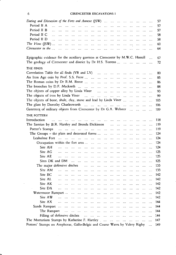#### 6 CIRENCESTER EXCAVATIONS I

 $\sim$ 

| Period II A                                                                     |                                                                                                            |           |            |                         |                                                        |                                                                    |            |                 | Dating and Discussion of the Forts and Annexe (JSW)                                                                                                                                                    |                                                                                                                         |                          |                              |              |                                                                                                         |                               | 57                                                                                                                                |
|---------------------------------------------------------------------------------|------------------------------------------------------------------------------------------------------------|-----------|------------|-------------------------|--------------------------------------------------------|--------------------------------------------------------------------|------------|-----------------|--------------------------------------------------------------------------------------------------------------------------------------------------------------------------------------------------------|-------------------------------------------------------------------------------------------------------------------------|--------------------------|------------------------------|--------------|---------------------------------------------------------------------------------------------------------|-------------------------------|-----------------------------------------------------------------------------------------------------------------------------------|
|                                                                                 | $\cdots$ $\cdots$                                                                                          | $\ddots$  |            |                         |                                                        | $\sim$ 2000 $\sim$ 2000 $\sim$ 2000 $\sim$ 2000 $\sim$ 2000 $\sim$ |            | $\sim 10^{-11}$ | $\cdots$                                                                                                                                                                                               | $\ddotsc$                                                                                                               | $\ldots$                 | $\ddotsc$                    | $\cdots$     | $\cdots$                                                                                                | $\cdots$                      | 57                                                                                                                                |
| Period II B<br>$\ddotsc$                                                        | $\dddotsc$                                                                                                 | $\ddotsc$ | $\sim 100$ | $\sim 100$              | $\mathbf{1}$ and $\mathbf{1}$                          | $\overline{1}$                                                     | $\cdots$   | $\cdots$        | $\ddotsc$                                                                                                                                                                                              | $\ddotsc$                                                                                                               | $\ddotsc$                | $\ddotsc$                    | $\mathbf{A}$ | $\sim 100$ km s $^{-1}$                                                                                 | $\cdots$                      | 57                                                                                                                                |
| Period II C<br>$\cdots$                                                         |                                                                                                            | $\ddotsc$ | $\ldots$   | $\ldots$                | $\ldots$                                               | $\ddotsc$                                                          | $\ddotsc$  | $\ddotsc$       | $\ddotsc$                                                                                                                                                                                              | $\ddotsc$                                                                                                               | $\ddotsc$                | $\cdots$                     | $\cdots$     | $\cdots$                                                                                                | $\ddotsc$                     | 58                                                                                                                                |
| Period II D<br>$\mathbf{1}$                                                     | $\dddotsc$                                                                                                 | $\ddotsc$ | $\sim$     | $\cdots$                | $\mathbf{r}$ , $\mathbf{r}$                            | $\mathbf{r}$ .                                                     | $\sim 100$ | $\mathbf{r}$    | $\ddotsc$                                                                                                                                                                                              | $\mathbf{1}$ .                                                                                                          | $\ddotsc$                | $\sim$                       | $\cdots$     | $\sim$                                                                                                  | $\ddotsc$                     | 58                                                                                                                                |
| The Vicus $(\text{JSW}) \dots$                                                  | $\ddotsc$                                                                                                  | $\ddotsc$ | $\sim$     | $\sim 100$ km s $^{-1}$ | $\mathcal{L}_{\mathcal{F}}(\mathcal{L}_{\mathcal{F}})$ | $\mathbb{R}^{2}$ . The same                                        |            | $\sim 100$      |                                                                                                                                                                                                        | $\cdots$                                                                                                                |                          | $\sim 1000$ , and $\sim 100$ | $\ddotsc$    | $\ddotsc$                                                                                               | $\ddots$                      | 60                                                                                                                                |
|                                                                                 |                                                                                                            |           |            |                         |                                                        |                                                                    |            |                 |                                                                                                                                                                                                        |                                                                                                                         |                          |                              |              |                                                                                                         |                               | 64                                                                                                                                |
| Epigraphic evidence for the auxiliary garrison at Cirencester by M.W.C. Hassall |                                                                                                            |           |            |                         |                                                        |                                                                    |            |                 |                                                                                                                                                                                                        |                                                                                                                         |                          |                              |              |                                                                                                         | $\ddotsc$                     | 67                                                                                                                                |
| The geology of Cirencester and district by Dr H.S. Torrens                      |                                                                                                            |           |            |                         |                                                        |                                                                    |            |                 |                                                                                                                                                                                                        |                                                                                                                         |                          |                              |              |                                                                                                         |                               | 72                                                                                                                                |
| THE FINDS                                                                       |                                                                                                            |           |            |                         |                                                        |                                                                    |            |                 |                                                                                                                                                                                                        |                                                                                                                         |                          |                              |              |                                                                                                         |                               |                                                                                                                                   |
| Correlation Table for all finds (VR and LV)                                     |                                                                                                            |           |            |                         |                                                        |                                                                    |            |                 |                                                                                                                                                                                                        |                                                                                                                         |                          |                              |              |                                                                                                         | $\ldots$                      | 80                                                                                                                                |
| An Iron Age coin by Prof. S.S. Frere                                            |                                                                                                            |           |            |                         |                                                        |                                                                    |            |                 |                                                                                                                                                                                                        | $\begin{array}{ccc} \downarrow & \downarrow & \downarrow & \downarrow & \downarrow & \downarrow \downarrow \end{array}$ | $\sim 1.2\, \mathrm{km}$ | $\sim 100$                   | $\ddotsc$    | $\ddotsc$                                                                                               | $\mathbf{r}$ , $\mathbf{r}$   | 85                                                                                                                                |
|                                                                                 |                                                                                                            |           |            |                         |                                                        |                                                                    |            |                 |                                                                                                                                                                                                        |                                                                                                                         |                          |                              |              | $\cdots$ $\cdots$                                                                                       | $\ddotsc$                     | 86                                                                                                                                |
|                                                                                 |                                                                                                            |           |            |                         |                                                        |                                                                    |            |                 |                                                                                                                                                                                                        |                                                                                                                         |                          |                              | $\sim$       | $\sim 100$ km s $^{-1}$                                                                                 | $\mathbf{1}$ and $\mathbf{1}$ | 88                                                                                                                                |
| The objects of copper alloy by Linda Viner                                      |                                                                                                            |           |            |                         |                                                        |                                                                    |            |                 |                                                                                                                                                                                                        |                                                                                                                         |                          |                              | $\ldots$     | $\sim$ .                                                                                                | $\ddotsc$                     | 93                                                                                                                                |
| The objects of iron by Linda Viner                                              |                                                                                                            |           |            |                         |                                                        |                                                                    |            |                 |                                                                                                                                                                                                        |                                                                                                                         |                          | $\frac{1}{2}$ .              |              | $\mathbf{11.1} \quad \mathbf{12.1}$                                                                     |                               | 99                                                                                                                                |
| The objects of bone, shale, clay, stone and lead by Linda Viner                 |                                                                                                            |           |            |                         |                                                        |                                                                    |            |                 |                                                                                                                                                                                                        |                                                                                                                         |                          |                              |              |                                                                                                         |                               | 103                                                                                                                               |
| The glass by Dorothy Charlesworth                                               |                                                                                                            |           |            |                         |                                                        |                                                                    |            |                 |                                                                                                                                                                                                        |                                                                                                                         |                          |                              |              |                                                                                                         | $\ddotsc$                     | 106                                                                                                                               |
| Gazetteer of military objects from Cirencester by Dr G.A. Webster               |                                                                                                            |           |            |                         |                                                        |                                                                    |            |                 |                                                                                                                                                                                                        |                                                                                                                         |                          |                              |              |                                                                                                         |                               | 109                                                                                                                               |
| The Samian by B.R. Hartley and Brenda Dickinson                                 |                                                                                                            |           |            |                         |                                                        |                                                                    |            |                 |                                                                                                                                                                                                        | $\mathbf{111} \pm \mathbf{112}$                                                                                         | $\cdots$                 | $\sim 10^{-1}$               |              |                                                                                                         |                               | 119                                                                                                                               |
| Potter's Stamps                                                                 |                                                                                                            |           |            |                         |                                                        |                                                                    |            |                 |                                                                                                                                                                                                        | $\ldots$ . $\ldots$                                                                                                     |                          | $\sim$ 444 $\sim$            | $\ddotsc$    | $\sim$                                                                                                  | $\dddotsc$                    |                                                                                                                                   |
|                                                                                 |                                                                                                            |           |            |                         |                                                        |                                                                    |            |                 |                                                                                                                                                                                                        |                                                                                                                         |                          |                              |              |                                                                                                         |                               |                                                                                                                                   |
| The Groups – the plain and decorated forms                                      |                                                                                                            |           |            |                         |                                                        |                                                                    |            |                 |                                                                                                                                                                                                        | $\mathbf{1}$ and $\mathbf{1}$ and $\mathbf{1}$                                                                          | $\sim$ 4.44              | $\sim 10^{-11}$              | $\ddotsc$    | $\cdots$                                                                                                |                               |                                                                                                                                   |
| Leaholme Fort                                                                   |                                                                                                            |           |            |                         |                                                        |                                                                    |            |                 | $\mathbf{1}_{\mathbf{1}_{\mathbf{2}}\mathbf{3}_{\mathbf{3}}\mathbf{4}_{\mathbf{4}}\mathbf{5}_{\mathbf{5}}\mathbf{6}_{\mathbf{6}}\mathbf{7}_{\mathbf{7}}\mathbf{8}_{\mathbf{8}}\mathbf{9}_{\mathbf{9}}$ |                                                                                                                         | $\ddotsc$                | $\ddotsc$                    | $\ddotsc$    |                                                                                                         | $\ddotsc$                     |                                                                                                                                   |
| Occupation within the fort area                                                 |                                                                                                            |           |            |                         |                                                        |                                                                    |            |                 |                                                                                                                                                                                                        |                                                                                                                         | $\sim$ .                 | $\ddotsc$                    | $\ddotsc$    | $\sim 100$                                                                                              | $\mathbf{r}$                  |                                                                                                                                   |
| Site AH                                                                         | المتوارد ووجد المتوارد فتوارد ووقع المتوارد ووقع المتوارد ووقع المتوارد ووقع المتوارد ووقع الرابعة والمراد |           |            |                         |                                                        |                                                                    |            |                 |                                                                                                                                                                                                        |                                                                                                                         |                          |                              |              |                                                                                                         |                               |                                                                                                                                   |
| Site AG                                                                         |                                                                                                            |           |            |                         |                                                        |                                                                    |            |                 |                                                                                                                                                                                                        |                                                                                                                         |                          |                              |              | لالمعار لاجتماع المتماز ومتعار المحتمر المحمد المتعار المتحار المحتمر العبدار الحبب العبدار متعار الحبب |                               |                                                                                                                                   |
| Site AE                                                                         |                                                                                                            |           |            |                         |                                                        |                                                                    |            |                 |                                                                                                                                                                                                        |                                                                                                                         |                          |                              |              |                                                                                                         |                               |                                                                                                                                   |
| Sites DK and DM                                                                 |                                                                                                            |           | .          |                         | .                                                      | $\ddotsc$                                                          | .          | .               | .                                                                                                                                                                                                      | .                                                                                                                       | .                        |                              | .            | .                                                                                                       |                               |                                                                                                                                   |
| The major defensive ditches                                                     |                                                                                                            |           |            |                         | .                                                      |                                                                    |            |                 |                                                                                                                                                                                                        |                                                                                                                         |                          |                              |              |                                                                                                         | $\ddotsc$                     |                                                                                                                                   |
| Site AM                                                                         | .                                                                                                          |           |            |                         |                                                        |                                                                    |            |                 |                                                                                                                                                                                                        | .                                                                                                                       |                          |                              |              | $\ddotsc$                                                                                               |                               |                                                                                                                                   |
| Site BC                                                                         |                                                                                                            |           |            |                         |                                                        |                                                                    |            |                 |                                                                                                                                                                                                        |                                                                                                                         |                          |                              | .            |                                                                                                         |                               |                                                                                                                                   |
| Site AL                                                                         |                                                                                                            |           |            |                         |                                                        | $\ddotsc$                                                          | .          |                 | $\sim$ $\sim$                                                                                                                                                                                          | $\ddotsc$                                                                                                               |                          | $\cdots$                     | .            |                                                                                                         |                               |                                                                                                                                   |
| Site AK                                                                         |                                                                                                            |           |            |                         |                                                        |                                                                    |            |                 |                                                                                                                                                                                                        |                                                                                                                         |                          |                              |              |                                                                                                         |                               |                                                                                                                                   |
| Site DA                                                                         |                                                                                                            | $\ddotsc$ |            |                         | .                                                      | $\cdots$                                                           | .          |                 |                                                                                                                                                                                                        |                                                                                                                         |                          |                              | .            |                                                                                                         |                               |                                                                                                                                   |
| Watermoor Rampart                                                               |                                                                                                            |           |            |                         | .                                                      |                                                                    |            |                 |                                                                                                                                                                                                        |                                                                                                                         |                          |                              | .            |                                                                                                         |                               |                                                                                                                                   |
| Site AW                                                                         | $\ddotsc$                                                                                                  |           | $\ddotsc$  |                         | .                                                      | $\cdots$                                                           | $\ddotsc$  |                 | .                                                                                                                                                                                                      |                                                                                                                         |                          |                              |              |                                                                                                         |                               |                                                                                                                                   |
| Site AX                                                                         | $\ddotsc$                                                                                                  |           | $\cdots$   |                         |                                                        |                                                                    |            |                 |                                                                                                                                                                                                        |                                                                                                                         |                          |                              |              |                                                                                                         |                               |                                                                                                                                   |
| Sands Rampart                                                                   |                                                                                                            | $\cdots$  | $\ddotsc$  | .                       |                                                        | .                                                                  |            |                 | $\ddotsc$                                                                                                                                                                                              | $\ddotsc$                                                                                                               |                          |                              |              |                                                                                                         |                               |                                                                                                                                   |
| The Rampart                                                                     |                                                                                                            | .         |            | $\ddotsc$               | $\dddotsc$                                             | .                                                                  | .          | .               | $\ddotsc$                                                                                                                                                                                              | $\ddotsc$                                                                                                               |                          |                              | $\ddotsc$    |                                                                                                         |                               | 119<br>124<br>124<br>124<br>124<br>125<br>125<br>125<br>133<br>133<br>142<br>142<br>142<br>142<br>142<br>142<br>144<br>144<br>144 |
| Filling of defensive ditches<br>The Mortarium Stamps by Katherine F. Hartley    |                                                                                                            |           |            |                         | $\ddotsc$                                              | $\ddotsc$                                                          | $\ddotsc$  | .               | $\ddotsc$                                                                                                                                                                                              | $\ddotsc$                                                                                                               | .                        |                              | .            |                                                                                                         |                               | 144<br>147                                                                                                                        |

 $\sim 10^{-1}$ 

۳

..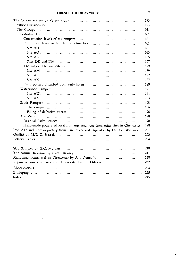## CIRENCESTER EXCAVATIONS "
7

| The Coarse Pottery by Valery Rigby                                             |                                                                |                                        |                                                                         |                |                 |                |                 | $\ddotsc$    | $\ddotsc$                                                                | $\bar{\nu}$ , $\bar{\nu}$       |                 |                            |                       |              |                      | 153 |
|--------------------------------------------------------------------------------|----------------------------------------------------------------|----------------------------------------|-------------------------------------------------------------------------|----------------|-----------------|----------------|-----------------|--------------|--------------------------------------------------------------------------|---------------------------------|-----------------|----------------------------|-----------------------|--------------|----------------------|-----|
| Fabric Classification                                                          |                                                                |                                        |                                                                         |                |                 | $\cdots$       | $\ddotsc$       | $\cdots$     | $\ldots$                                                                 | $\ddotsc$                       | $\cdots$        | $\cdots$                   |                       |              |                      | 153 |
| The Groups                                                                     |                                                                |                                        |                                                                         |                |                 | $\sim$ .       | $\ddotsc$       | $\ddotsc$    | $\ddotsc$                                                                | $\ddotsc$                       | $\ddotsc$       | $\ddotsc$                  | $\ldots$              | $\ddots$     |                      | 161 |
| Leaholme Fort                                                                  |                                                                |                                        | $\mathbf{1}$ . The state $\mathbf{1}$ and $\mathbf{1}$ and $\mathbf{1}$ |                |                 | $\overline{a}$ | $\mathbf{r}$    | $\ddotsc$    | $\ddotsc$                                                                | $\ddotsc$                       | $\ddotsc$       | $\overline{a}$             | $\ddotsc$             | $\ddotsc$    | $\ddot{\phantom{a}}$ | 161 |
| Construction levels of the rampart                                             |                                                                |                                        |                                                                         |                |                 |                |                 | $\ddotsc$    | $\ddotsc$                                                                | $\cdots$                        | $\ddotsc$       | $\ddotsc$                  | $\ddotsc$             | $\cdots$     |                      | 161 |
| Occupation levels within the Leaholme fort                                     |                                                                |                                        |                                                                         |                |                 |                |                 | $\mathbf{L}$ | $\ddotsc$                                                                | $\cdots$                        | $\cdots$        | $\ddotsc$                  | $\cdots$              |              |                      | 161 |
| Site AH                                                                        |                                                                |                                        | and the service of the service                                          |                |                 |                | $\ddotsc$       | $\ddotsc$    | $\ddotsc$                                                                | $\ddotsc$                       | $\ddotsc$       | $\ddotsc$                  | $\ddotsc$             | $\cdots$     |                      | 161 |
| Site AG                                                                        |                                                                | $\mathbf{1}$ . The set of $\mathbf{1}$ | $\ddotsc$                                                               | $\ddotsc$      | $\ddotsc$       | $\ddotsc$      |                 | $\ddotsc$    | $\ddotsc$                                                                |                                 |                 |                            |                       |              |                      | 163 |
| Site AE                                                                        |                                                                |                                        | $\ldots$                                                                | $\cdots$       | $\ddotsc$       | $\ddotsc$      | $\ddotsc$       | $\ddotsc$    | $\ddotsc$                                                                | $\ddotsc$                       | $\cdots$        | $\ddotsc$                  | $\ldots$              |              |                      | 165 |
| Sites DK and DM                                                                |                                                                |                                        | $\mathbf{11.}$ $\mathbf{12.}$                                           |                | $\sim$ $\sim$   | $\ddotsc$      | $\ddotsc$       | $\ddotsc$    | $\ddotsc$                                                                | $\ldots$                        | $\ddotsc$       | $\ddotsc$                  | $\ddotsc$             |              |                      | 167 |
| The major defensive ditches                                                    |                                                                |                                        |                                                                         |                | $\sim$ . $\sim$ | $\cdots$       | $\ddotsc$       | $\ddotsc$    | $\ddotsc$                                                                | $\ddotsc$                       | $\ddotsc$       | $\ddotsc$                  |                       |              |                      | 179 |
| Site AM                                                                        |                                                                |                                        | $\ddots$                                                                | $\dddotsc$     | $\dddotsc$      | $\ddotsc$      |                 | .            | $\cdots$                                                                 | $\ddotsc$                       |                 | .                          |                       |              |                      | 179 |
| Site AL                                                                        | i da sin an sa sa sa                                           |                                        |                                                                         |                |                 | $\ddotsc$      | $\ddotsc$       | $\ddotsc$    | $\ddotsc$                                                                | $\ddotsc$                       | $\ddotsc$       | $\ddotsc$                  | $\ddotsc$             | $\ddotsc$    |                      | 187 |
| Site AK                                                                        |                                                                |                                        |                                                                         |                |                 |                | $\ddotsc$       | $\ddotsc$    | $\ddotsc$                                                                | $\dddotsc$                      | $\ddotsc$       | $\ddotsc$                  | $\ddotsc$             | $\sim 100$   |                      | 187 |
| Early pottery disturbed from early layers                                      |                                                                |                                        |                                                                         |                |                 |                |                 | $\ddotsc$    | $\ddotsc$                                                                | $\ddotsc$                       | $\cdots$        | $\ddotsc$                  | $\ddotsc$             |              |                      | 189 |
| Watermoor Rampart                                                              |                                                                |                                        |                                                                         |                |                 |                | $\bar{L}$ .     | $\ddotsc$    | $\ddotsc$                                                                | $\dddotsc$                      | $\ddotsc$       | $\ddotsc$                  | $\ddotsc$             |              | $\dddotsc$           | 191 |
| Site AW                                                                        |                                                                |                                        |                                                                         |                |                 |                | $\ddotsc$       | $\cdots$     | $\overline{a}$ , $\overline{a}$                                          | $\ddotsc$                       | $\ddotsc$       | $\ldots$                   | $\mathbf{r}$          |              |                      | 191 |
| Site AX                                                                        |                                                                | $\cdots$ $\cdots$                      | $\ddotsc$                                                               | $\cdots$       | $\cdots$        |                | $\ddotsc$       | $\ldots$     | $\ddotsc$                                                                | $\ddotsc$                       | $\cdots$        | $\ddotsc$                  | $\cdots$              | $\cdots$     |                      | 193 |
| Sands Rampart                                                                  |                                                                |                                        |                                                                         |                |                 |                | $\ddotsc$       | $\cdots$     | $\mathbf{r}$                                                             | $\ddotsc$                       | $\ddotsc$       | $\ddotsc$                  | $\dddot{\phantom{0}}$ |              |                      | 195 |
| The rampart                                                                    |                                                                |                                        |                                                                         |                |                 |                | $\sim 10^{-11}$ |              | $\mathbf{1}$ , and $\mathbf{1}$                                          | $\overline{1}$ , $\overline{1}$ | $\ddotsc$       | $\sim$ .                   | $\ddotsc$             | $\ddotsc$    |                      | 196 |
| Filling of defensive ditches                                                   |                                                                |                                        |                                                                         |                |                 |                | $\sim 10^{-10}$ |              | $\mathbf{1}$ , $\mathbf{1}$ , $\mathbf{1}$ , $\mathbf{1}$ , $\mathbf{1}$ | $\sim$                          | $\cdots$        | $\mathcal{L}_{\text{max}}$ | $\ldots$              |              |                      | 196 |
| The Vicus                                                                      | and the same state and the same state and state and same state |                                        |                                                                         |                |                 |                |                 |              |                                                                          |                                 |                 | $\ldots$                   | $\sim 100$            | $\ddotsc$    | $\ldots$             | 198 |
|                                                                                |                                                                |                                        |                                                                         |                |                 |                |                 |              |                                                                          |                                 |                 |                            |                       | $\mathbf{A}$ | $\cdots$             | 198 |
| Hand-made pottery of local Iron Age traditions from other sites in Cirencester |                                                                |                                        |                                                                         |                |                 |                |                 |              |                                                                          |                                 |                 |                            |                       |              |                      | 198 |
| Iron Age and Roman pottery from Cirencester and Bagendon by Dr D.F. Williams   |                                                                |                                        |                                                                         |                |                 |                |                 |              |                                                                          |                                 |                 |                            |                       |              |                      | 201 |
|                                                                                |                                                                |                                        |                                                                         |                |                 |                |                 |              |                                                                          |                                 |                 | $\sim 10^{-1}$             |                       |              |                      | 203 |
| Pottery Tables                                                                 |                                                                |                                        |                                                                         |                | $\ddotsc$       | $\mathbb{Z}$ . | $\dddotsc$      |              |                                                                          |                                 |                 |                            |                       |              |                      | 204 |
|                                                                                |                                                                |                                        |                                                                         |                |                 |                |                 |              |                                                                          |                                 |                 |                            |                       |              |                      |     |
| Slag Samples by G.C. Morgan                                                    |                                                                |                                        |                                                                         |                |                 | $\overline{a}$ | $\ddotsc$       |              |                                                                          |                                 |                 |                            |                       |              |                      | 210 |
| The Animal Remains by Clare Thawley                                            |                                                                |                                        |                                                                         |                |                 |                |                 |              |                                                                          |                                 |                 |                            |                       |              |                      | 211 |
| Plant macroremains from Cirencester by Ann Connolly                            |                                                                |                                        |                                                                         |                |                 |                |                 |              |                                                                          |                                 | $\sim 10^{-11}$ | $\ddots$                   |                       |              |                      | 228 |
| Report on insect remains from Cirencester by P.J. Osborne                      |                                                                |                                        |                                                                         |                |                 |                |                 |              |                                                                          | $\sim$                          | $\ldots$        | $\ddotsc$                  | $\ddotsc$             |              |                      | 232 |
| <b>Abbreviations</b>                                                           |                                                                |                                        |                                                                         |                |                 |                |                 |              |                                                                          |                                 |                 |                            |                       |              |                      | 234 |
| Bibliography<br>$\sim$ 144                                                     | $\sim$                                                         | المتحاد المقفات                        |                                                                         | التبار المتدار |                 | $\mathbf{r}$ . | $\sim$ .        |              | $\mathbf{r}$ and $\mathbf{r}$ and $\mathbf{r}$                           |                                 |                 |                            |                       |              |                      | 235 |
| Index                                                                          |                                                                |                                        |                                                                         |                |                 |                |                 |              |                                                                          |                                 |                 |                            |                       |              |                      | 245 |
|                                                                                |                                                                |                                        |                                                                         |                |                 |                |                 |              |                                                                          |                                 |                 |                            |                       |              |                      |     |

 $\hat{\mathcal{A}}$ 

 $\mathcal{I}$ 

 $\bar{1}$ 

 $\sim$ 

 $\overline{2}$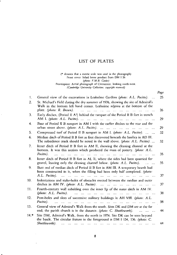# LIST OF PLATES

**(\* denotes that a metric scale was used in the photograph) Front cover: Inlaid horse pendant from DM I 56** *(photo: F.M.B. Cooke)* **Frontispiece: Aerial photograph of** Circnccsrcr. **looking north-west,** *(Cambridge University Collection:* (opyr~eht *reserved)*

*Page*

| 1.     | General view of the excavations in Leaholme Gardens (photo: A.L. Pacitto).<br>$\sim$                                                                                                        | 25 |
|--------|---------------------------------------------------------------------------------------------------------------------------------------------------------------------------------------------|----|
| 2.     | St. Michael's Field during the dry summer of 1976, showing the site of Admiral's<br>Walk in the bottom left hand corner. Leaholme adjoins at the bottom of the<br>plate. (photo: R. Brown). | 26 |
| 3.     | Early ditches, (Period II A?) behind the rampart of the Period II B fort in trench<br>AM I. (photo: A.L. Pacitto).                                                                          | 29 |
| 4.     | Base of Period II B rampart in AM I with the earlier ditches to the rear and the<br>urban street above. (photo: A.L. Pacitto).<br>$\mathbf{1}$ . The set of $\mathbf{1}$<br>$\mathbf{r}$    | 29 |
| 5.     | Compressed turf of Period II B rampart in AM I. (photo: A.L. Pacitto).                                                                                                                      | 32 |
| 6.     | Median ditch of Period II B fort as first discovered beneath the basilica in AD III.<br>The subsidence crack should be noted in the wall above. (photo: A.L. Pacitto)                       | 32 |
| 7.     | Inner ditch of Period II B fort in AM II, showing the cleaning channel at the<br>bottom. It was this section which produced the mass of pottery. (photo: A.L.<br>Pacitto).                  | 35 |
| 8.     | Inner ditch of Period II B fort in AL II, where the sides had been quarried for<br>gravel, leaving only the cleaning channel below. (photo: A.L. Pacitto).<br>$\cdots$ $\cdots$             | 35 |
| 9.     | Butt end of median ditch of Period II B fort in AM III. A temporary hearth had<br>been constructed in it, when the filling had been only half completed. (photo:<br>A.L. Pacitto).          | 37 |
| 10.    | Indentations and stake-holes of obstacles erected between the median and outer<br>ditches in AM IV. (photo: A.L. Pacitto).                                                                  | 37 |
| 11.    | Fourth-century wall subsiding over the inner lip of the outer ditch in AM IV.<br>(photo: A.L. Pacitto).                                                                                     | 38 |
| 12.    | Post-holes and slots of successive military buildings in AH VIII. (photo: A.L.<br>Pacitto).                                                                                                 | 38 |
| 13.    | General view of Admiral's Walk from the south. Sites DK and DM arc at the far<br>end; the parish church is in the distance. (photo: C. Shuttleworth).                                       | 44 |
| $14.*$ | Site DM, Admiral's Walk, from the north in 1974. Site DK can be seen beyond<br>the baulk. The circular feature in the foreground is DM I 134, 136. (photo: C.<br>Shuttleworth).             | 44 |

•

 $\hat{\mathcal{L}}$ 

 $\bar{z}$ 

 $\bar{\mathcal{A}}$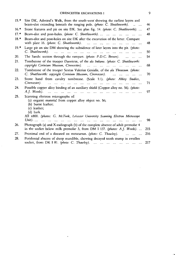#### CIRENCESTER EXCAVATIONS I 9

| $15.*$     | Site DK, Admiral's Walk, from the south-west showing the earliest layers and<br>beam-slot extending beneath the ranging pole. (photo: C. Shuttleworth).<br>$\mathbf{r}$ . The set of $\mathbf{r}$                                                                   | 46  |
|------------|---------------------------------------------------------------------------------------------------------------------------------------------------------------------------------------------------------------------------------------------------------------------|-----|
| $16.*$     | Stone features and pit on site DK. See plan fig. 14. (photo: C. Shuttleworth).                                                                                                                                                                                      | 47  |
| $17 \star$ | Beam-slot and post-holes. (photo: C. Shuttleworth).                                                                                                                                                                                                                 | 48  |
| $18.*$     | Beam-slot and post-holes on site DK after the excavation of the latter. Compare<br>with plate 16. (photo: C. Shuttleworth).<br>لمحتا المتدار بكتار الاحترار بمتدار وجدار فككار كتبر                                                                                 | 48  |
| $19.*$     | Large pit on site DM showing the subsidence of later layers into the pit. (photo:<br>C. Shuttleworth).<br>.<br>Health and the company of the company of the company of the company of the company of the company of the compa                                       | 50  |
| 20.        | The Sands: section through the rampart. (photo: P.D.C. Brown).                                                                                                                                                                                                      | 54  |
| 21.        | Tombstone of the trooper Dannicus, of the ala Indiana. (photo: C. Shuttleworth:<br>copyright Corinium Museum, Cirencester).<br>sia (all later all later all later all later all later                                                                               | 68  |
| 22.        | Tombstone of the trooper Sextus Valerius Genialis, of the ala Thraecum. (photo:<br>C. Shuttleworth: copyright Corinium Museum, Cirencester).                                                                                                                        | 70  |
| 23.        | Stone hand from cavalry tombstone. (Scale 1:1). (photo: Abbey Studios,<br>Cirencester).<br>.<br>Adam Salah Salah Salah Salah Salah Salah Salah Salah Salah<br>$\cdots$                                                                                              | 71  |
| 24.        | Possible copper alloy binding of an auxiliary shield (Copper alloy no. 56). (photo:<br>$A.$ <i>J. Woods)</i> .<br>ing and the same state of the same state and state of the same state of the same state of the same state of the                                   | 97  |
| 25.        | Scanning electron micrographs of:<br>(a) organic material from copper alloy object no. 56;<br>(b) burnt leather;<br>(c) leather:<br>(d) bark.<br>All x800. (photos: G. McTurk, Leicester University Scanning Electron Microscope<br>Unit). $\ldots$<br>$\mathbf{r}$ | 98  |
| 26.        | Photograph (a) and X-radiograph (b) of the complete absence of adult premolar 4<br>in the socket below milk premolar 3, from DM I 137. (photos: A.J. Woods)                                                                                                         | 215 |
| 27.        | Proximal end of a diseased ox metatarsus. (photo: C. Thawley).                                                                                                                                                                                                      | 216 |
| 28.        | $\mathbf{r}$ . $\mathbf{r}$<br>Peridontal abscess of sheep mandible, showing decayed tooth stump in swollen                                                                                                                                                         |     |
|            | socket, from DK I 81. (photo: C. Thawley).                                                                                                                                                                                                                          | 217 |

 $\bar{\pmb{\cdot}}$ 

 $\hat{\mathcal{L}}$ 

 $\mathcal{A}$ 

 $\hat{\mathcal{A}}$ 

 $\ddot{\phantom{1}}$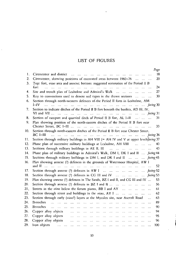# LIST OF FIGURES

 $\ddot{\phantom{a}}$ 

|              | Page                                                                                                                                                                                                                                            |
|--------------|-------------------------------------------------------------------------------------------------------------------------------------------------------------------------------------------------------------------------------------------------|
| 1.           | 18<br>Cirencester and district<br>$\sim$                                                                                                                                                                                                        |
| 2.           | Cirencester, showing positions of excavated areas between 1960-76<br>20<br>$\mathbf{r}$ , and $\mathbf{r}$                                                                                                                                      |
| 3.           | Top: fort, vicus area and annexe; bottom: suggested restoration of the Period II B                                                                                                                                                              |
|              | 24<br>fort<br>$\frac{1}{2}$ . The contract of the contract of the contract of the contract of the contract of the contract of the contract of the contract of the contract of the contract of the contract of the contract of the contract of t |
| 4.           | Site and trench plan of Leaholme and Admiral's Walk<br>27<br>$\mathbf{r}$                                                                                                                                                                       |
| 5.           | Key to conventions used to denote soil types in the drawn sections<br>30                                                                                                                                                                        |
| 6.           | Section through north-western defences of-the Period II forts in Leaholme, AM                                                                                                                                                                   |
|              | $I-IV$<br>$\ldots$ $\ldots$ $\ldots$ $\ldots$ $\ldots$ $\ldots$ $\ldots$ $\ldots$ $\ldots$ $\ldots$ facing 30                                                                                                                                   |
| 7.           | Section to indicate ditches of the Period II B fort beneath the basilica, AD III, IV,                                                                                                                                                           |
|              |                                                                                                                                                                                                                                                 |
| 8.           | Section of rampart and quarried ditch of Period II B fort, AL I-II<br>31                                                                                                                                                                        |
| 9.           | Plan showing position of the north-eastern ditches of the Period II B fort near                                                                                                                                                                 |
|              | 33                                                                                                                                                                                                                                              |
| 10.          | Section through north-eastern ditches of the Period II B fort near Chester Street,                                                                                                                                                              |
|              | BC I-III                                                                                                                                                                                                                                        |
| 11.          | Section through military buildings in AH VIII (= AH IV and V at upper levels facing 37                                                                                                                                                          |
| 12.          | Phase plan of successive military buildings at Leaholme, AH VIII<br>40                                                                                                                                                                          |
| 13.          | Sections through military buildings in AE II, III and the contact the contact the<br>43                                                                                                                                                         |
| 14.          | Phase plan of military buildings in Admiral's Walk, DM I, DK I and II  facing 44                                                                                                                                                                |
| 15.          | Sections through military buildings in DM I, and DK I and II    facing 45                                                                                                                                                                       |
| 16.          | Plan showing annexe (?) defences in the grounds of Watermoor Hospital, AW I                                                                                                                                                                     |
|              | and II<br>52<br>لمعتول وووا لمحتمل فككرا وكبوا وككوا ووكوا المحكم الحفوظ المحكور المحكور<br>$\mathbf{1}$<br>$\mathbf{r}$<br>$\mathbf{1}$<br>$\cdots$                                                                                            |
| 17.          | Section through annexe (?) defences in AW I         facing 52                                                                                                                                                                                   |
| 18.          | Section through annexe (?) defences in CG III and IV      facing 53                                                                                                                                                                             |
| 19.          | Plan showing annexe (?) defences in The Sands, BZ I and II, and CG III and IV<br>53                                                                                                                                                             |
| 20.          | Section through annexe (?) defences in BZ I and II<br>56                                                                                                                                                                                        |
| $21_{\odot}$ | Streets in the viaus below the forum piazza, BB I and AY<br>61                                                                                                                                                                                  |
| 22.          | Section through street and buildings in the views, AY I<br>62<br>$\ddotsc$                                                                                                                                                                      |
| 23.          | Section through early (vicus?) layers at the Mycalex site, near Ascroft Road<br>63<br>$\ddotsc$                                                                                                                                                 |
| 24.          | <b>Brooches</b><br>89<br>وكفار كهوا المتدار كتور الموور الحكور الموكل المتورد المتورد المهاور ككفار المحكور المحكور المتدارر                                                                                                                    |
| 25.          | <b>Brooches</b><br>90<br>$\sim$ $\sim$                                                                                                                                                                                                          |
| 26.          | Copper alloy objects<br>94<br>$\cdots$<br>.<br>$\ddotsc$<br>.<br>.<br>.<br>$\cdots$                                                                                                                                                             |
| 27.          | Copper alloy objects<br>95                                                                                                                                                                                                                      |
| 28.          | Copper alloy objects<br>96<br>$\ddotsc$<br>$\ddotsc$<br>$\ddot{\phantom{1}}$<br>$\ddotsc$<br>$\ddotsc$                                                                                                                                          |
| 29.          | Iron objects<br>100<br>$\cdots$ $\cdots$ $\cdots$<br>$\sim$<br>$\ldots$<br>$\ddotsc$                                                                                                                                                            |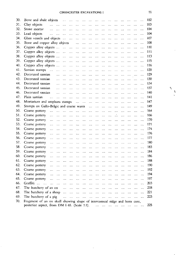#### CIRENCESTER EXCAVATIONS I

| 30. | Bone and shale objects                                                     |                                                            | $\ldots$                   | $\ddotsc$                  | $\ddotsc$                  | $\ddotsc$       | $\ddotsc$                       | $\ldots$                                            | $\ddotsc$                 | $\mathcal{L}_{\mathcal{A}}$ . | $\ddotsc$                                                                                                                                                                                                                                                                                                                                                                                                                                                    |                      |                                             |           | $\cdots$         | 102 |
|-----|----------------------------------------------------------------------------|------------------------------------------------------------|----------------------------|----------------------------|----------------------------|-----------------|---------------------------------|-----------------------------------------------------|---------------------------|-------------------------------|--------------------------------------------------------------------------------------------------------------------------------------------------------------------------------------------------------------------------------------------------------------------------------------------------------------------------------------------------------------------------------------------------------------------------------------------------------------|----------------------|---------------------------------------------|-----------|------------------|-----|
| 31. | Clay objects                                                               |                                                            | $\ldots$                   | $\ddotsc$                  | $\ddots$                   | $\ldots$        | $\ddotsc$                       | $\ddotsc$                                           | $\ddotsc$                 | $\dddotsc$                    | $\ddotsc$                                                                                                                                                                                                                                                                                                                                                                                                                                                    | $\cdots$             | $\ddotsc$                                   |           | $\ddotsc$        | 103 |
| 32. | Stone mortar                                                               | $\ddotsc$<br>$\overline{\mathcal{L}}$ .                    | $\ddotsc$                  | $\ddotsc$                  | $\sim 100$                 | $\sim$ .        | $\sim 10^{-1}$                  | $\sim$ $\sim$                                       | $\sim$ .                  | $\overline{\mathcal{L}}$ .    | $\ddotsc$                                                                                                                                                                                                                                                                                                                                                                                                                                                    | $\ddotsc$            | $\ddotsc$                                   | $\ddotsc$ | $\ddotsc$        | 104 |
| 33. | Lead objects                                                               | $\mathbf{1}$ , $\mathbf{1}$<br>$\mathbf{1}$ , $\mathbf{1}$ | $\ddotsc$                  | $\ldots$                   | $\overline{\mathcal{L}}$ . | $\ddotsc$       | $\mathbf{1}$ , $\mathbf{1}$     | $\ddotsc$                                           | $\ddotsc$                 | $\ddotsc$                     | $\cdots$                                                                                                                                                                                                                                                                                                                                                                                                                                                     | $\ddotsc$            | $\ddotsc$                                   | $\ddotsc$ | $\ddotsc$        | 104 |
| 34. | Glass vessels and objects                                                  |                                                            |                            |                            | $\sim$                     | $\ldots$        | $\ldots$                        | $\ldots$                                            | $\ddotsc$                 | $\ddots$                      | $\mathcal{L}_{\mathcal{A}}$                                                                                                                                                                                                                                                                                                                                                                                                                                  | $\ddotsc$            | $\ldots$                                    | $\sim$    | $\ddotsc$        | 107 |
| 35. | Bone and copper alloy objects                                              |                                                            |                            |                            | $\overline{\mathcal{L}}$ . | $\ldots$        | $\mathcal{L}_{\mathcal{A}}$ .   | $\overline{\mathcal{L}}$ , $\overline{\mathcal{L}}$ | $\bar{z}$ , $\bar{z}$     | $\overline{\mathcal{A}}$      | $\cdots$                                                                                                                                                                                                                                                                                                                                                                                                                                                     | $\ddotsc$            | $\ddotsc$                                   |           | .                | 108 |
| 36. | Copper alloy objects                                                       |                                                            |                            |                            |                            | $\ddotsc$       | $\ddotsc$                       | $\bar{1}$ .                                         | $\ddotsc$                 | $\ddotsc$                     | $\ldots$                                                                                                                                                                                                                                                                                                                                                                                                                                                     | .                    | $\ldots$                                    | $\ddotsc$ |                  | 110 |
| 37. | Copper alloy objects                                                       |                                                            | $\cdots$                   |                            | $\ldots$                   | $\ddotsc$       | $\cdots$                        | $\ddotsc$                                           | $\ddotsc$                 | $\ddotsc$                     | $\ddotsc$                                                                                                                                                                                                                                                                                                                                                                                                                                                    | .                    | $\ddotsc$                                   |           | .                | 111 |
| 38. | Copper alloy objects                                                       |                                                            | $\mathcal{L}_{\text{max}}$ | $\ldots$                   | $\sim 10$                  | $\ddotsc$       | $\ddotsc$                       | $\ddotsc$                                           | $\ddotsc$                 | $\ddotsc$                     | $\cdots$                                                                                                                                                                                                                                                                                                                                                                                                                                                     | $\ddotsc$            | $\ldots$                                    | $\cdots$  | $\ddotsc$        | 113 |
| 39. | Copper alloy objects                                                       |                                                            | $\ldots$                   | $\overline{\mathcal{L}}$ . | $\ddotsc$                  | $\ddotsc$       | $\mathbf{r}$ .                  | $\ddotsc$                                           | $\ddotsc$                 | $\ldots$                      | $\cdots$                                                                                                                                                                                                                                                                                                                                                                                                                                                     | $\ddotsc$            | $\ddotsc$                                   | $\cdots$  | .                | 115 |
| 40. | Copper alloy objects                                                       |                                                            | $\ddotsc$                  | $\ddots$                   | $\ddotsc$                  | $\ddotsc$       | $\ddotsc$                       | $\cdots$                                            | $\ddotsc$                 | $\ddotsc$                     | $\cdots$                                                                                                                                                                                                                                                                                                                                                                                                                                                     | $\ddotsc$            | $\ddotsc$                                   | $\cdots$  | $\ddotsc$        | 116 |
| 41. | Samian stamps                                                              | $\ddotsc$                                                  | $\ddotsc$                  | $\ddotsc$                  | $\ddotsc$                  | $\ldots$        | $\ddotsc$                       | $\ddotsc$                                           | $\ddotsc$                 | $\ddotsc$                     | $\ddotsc$                                                                                                                                                                                                                                                                                                                                                                                                                                                    | $\ddotsc$            | $\sim$ $\sim$                               |           | $\ddotsc$        | 120 |
| 42. | Decorated samian                                                           | $\ddotsc$                                                  | $\ddotsc$                  | $\ddotsc$                  | $\ddotsc$                  | $\ddotsc$       | $\ddotsc$                       | $\ddotsc$                                           | $\overline{\mathbf{r}}$ . | $\ddotsc$                     | $\ddotsc$                                                                                                                                                                                                                                                                                                                                                                                                                                                    | $\ddotsc$            | $\ldots$                                    | $\cdots$  |                  | 129 |
| 43. | Decorated samian                                                           | $\ddotsc$                                                  | $\ddots$                   | $\ddotsc$                  | $\ddots$                   | $\ddotsc$       | $\ddotsc$                       | $\ddotsc$                                           | $\ddotsc$                 | $\ddotsc$                     | $\ddotsc$                                                                                                                                                                                                                                                                                                                                                                                                                                                    | $\ldots$             | $\ddotsc$                                   | $\ldots$  | $\ddots$         | 130 |
| 44. | Decorated samian                                                           | $\ddotsc$                                                  | $\ddotsc$                  | $\ddotsc$                  | $\ddotsc$                  | $\ddotsc$       | $\cdots$                        | $\ldots$                                            | $\ddotsc$                 | $\ddotsc$                     | $\ddotsc$                                                                                                                                                                                                                                                                                                                                                                                                                                                    | .                    | $\sim$ $\sim$                               | $\ddotsc$ | .                | 134 |
| 45. | Decorated samian                                                           | .                                                          | $\ddotsc$                  | $\ddotsc$                  | $\ddotsc$                  |                 | $\cdots$                        | $\ddotsc$                                           | .                         | Щ,                            | .                                                                                                                                                                                                                                                                                                                                                                                                                                                            |                      | $\ddotsc$                                   | $\ddotsc$ | Н.               | 137 |
| 46. | Decorated samian                                                           | $\ddotsc$                                                  | $\ddotsc$                  | $\cdots$                   | $\ddotsc$                  | $\cdots$        | $\cdots$                        | $\cdots$                                            | $\ddotsc$                 | $\ddotsc$                     | $\cdots$                                                                                                                                                                                                                                                                                                                                                                                                                                                     | $\ddotsc$            | $\ddotsc$                                   | $\cdots$  |                  | 140 |
| 47. | Plain samian                                                               | $\ddotsc$<br>$\ddotsc$                                     | $\ddotsc$                  | $\ddotsc$                  | $\ddotsc$                  | $\ldots$        | $\ddotsc$                       | $\ddotsc$                                           | $\ddotsc$                 | $\ddotsc$                     | $\ddotsc$                                                                                                                                                                                                                                                                                                                                                                                                                                                    | $\ddotsc$            | $\ddotsc$                                   | $\ddotsc$ | $\ddotsc$        | 141 |
| 48. | Mortarium and amphora stamps                                               |                                                            |                            |                            | $\ddotsc$                  | $\sim 10$       | $\cdots$                        | $\ldots$                                            | $\ddotsc$                 | $\ddotsc$                     | $\ddotsc$                                                                                                                                                                                                                                                                                                                                                                                                                                                    | $\ddotsc$            | $\ddotsc$                                   | $\ddotsc$ | $\ddotsc$        | 147 |
| 49. | Stamps on Gallo-Belgic and coarse wares                                    |                                                            |                            |                            |                            |                 | $\ddotsc$                       | $\cdots$                                            | $\ddotsc$                 | $\ddotsc$                     | $\ddotsc$                                                                                                                                                                                                                                                                                                                                                                                                                                                    | .                    | .                                           | .         | .                | 149 |
| 50. | Coarse pottery                                                             | and the services are the                                   |                            |                            |                            | $\ddotsc$       | $\ddotsc$                       | $\cdots$                                            | $\ddotsc$                 | $\ddotsc$                     | $\ddotsc$                                                                                                                                                                                                                                                                                                                                                                                                                                                    | $\ddotsc$            | $\ddotsc$                                   | $\ddotsc$ |                  | 164 |
| 51. | Coarse pottery                                                             | $\overline{\mathcal{L}}$ .<br>$\cdots$                     | $\ddotsc$                  | $\ldots$                   | $\ddotsc$                  | $\ddotsc$       | $\mathbf{1}$                    | $\cdots$                                            | $\ddotsc$                 | $\bar{\mathcal{L}}$ .         | $\ddotsc$                                                                                                                                                                                                                                                                                                                                                                                                                                                    | .                    | $\ddotsc$                                   | $\ddotsc$ | .                | 166 |
| 52. | Coarse pottery                                                             | $\ddotsc$<br>$\cdots$                                      | $\ddotsc$                  | $\ldots$                   | $\ddots$                   | $\ddotsc$       | $\ddotsc$                       | $\cdots$                                            | $\cdots$                  |                               | $\ddotsc$                                                                                                                                                                                                                                                                                                                                                                                                                                                    | .                    | $\ddotsc$                                   | $\ddotsc$ | $\ddotsc$        | 170 |
| 53. | Coarse pottery                                                             | $\bar{a}$ , $\bar{a}$<br>$\ddotsc$                         | $\ddotsc$                  | $\ddotsc$                  | $\ddotsc$                  | $\sim$ .        | $\overline{1}$ , $\overline{1}$ | $\ddotsc$                                           | $\ldots$                  | $\bar{\nu}$ .                 | $\ddotsc$                                                                                                                                                                                                                                                                                                                                                                                                                                                    | $\cdots$             | $\cdots$                                    | $\ddotsc$ | .                | 171 |
| 54. | Coarse pottery                                                             | $\sim$ .<br>$\ddotsc$                                      | $\ldots$                   | $\ddotsc$                  | $\sim$ .                   | $\ddotsc$       | $\ddotsc$                       | $\ddotsc$                                           | $\ddotsc$                 | $\mathbb{Z}^2$ .              | $\ddotsc$                                                                                                                                                                                                                                                                                                                                                                                                                                                    | $\ddotsc$            | $\ddotsc$                                   | $\ddotsc$ | .                | 174 |
| 55. | Coarse pottery                                                             | $\ddotsc$<br>$\ddotsc$                                     | $\ldots$                   | $\ddotsc$                  | $\ddotsc$                  | $\ddotsc$       | $\ddotsc$                       | $\ldots$                                            | $\dddotsc$                | $\ddotsc$                     | $\cdots$                                                                                                                                                                                                                                                                                                                                                                                                                                                     | $\ddotsc$            | $\cdots$                                    | $\ddotsc$ | .                | 176 |
| 56. | Coarse pottery                                                             | $\ddotsc$<br>$\ddotsc$                                     | .                          | $\ddotsc$                  | $\ddotsc$                  | $\ddotsc$       | $\ddotsc$                       | $\ddotsc$                                           | $\ddotsc$                 | .                             | $\ddotsc$                                                                                                                                                                                                                                                                                                                                                                                                                                                    | $\ddotsc$            | $\ddotsc$                                   |           | 44               | 177 |
| 57. | Coarse pottery                                                             | $\overline{\mathcal{L}}$ .<br>$\ddotsc$                    | $\ldots$                   | $\ldots$                   | $\ddotsc$                  | $\sim$ . $\sim$ | $\ddotsc$                       | $\ddotsc$                                           | $\ddotsc$                 | $\bar{\Delta}$ .              | $\bar{\omega}$ .                                                                                                                                                                                                                                                                                                                                                                                                                                             | $\bar{\nu}$ .        | $\ddotsc$                                   | $\ddotsc$ | .                | 180 |
| 58. | Coarse pottery                                                             | $\cdots$                                                   |                            |                            |                            |                 |                                 |                                                     |                           |                               |                                                                                                                                                                                                                                                                                                                                                                                                                                                              |                      |                                             |           |                  | 183 |
| 59. | Coarse pottery                                                             |                                                            |                            |                            |                            |                 |                                 |                                                     |                           |                               | $\mathbf{a} \cdot \mathbf{a} = \mathbf{a} \cdot \mathbf{a} = \mathbf{a} \cdot \mathbf{a} = \mathbf{a} \cdot \mathbf{a} = \mathbf{a} \cdot \mathbf{a} = \mathbf{a} \cdot \mathbf{a} = \mathbf{a} \cdot \mathbf{a} = \mathbf{a} \cdot \mathbf{a} = \mathbf{a} \cdot \mathbf{a} = \mathbf{a} \cdot \mathbf{a} = \mathbf{a} \cdot \mathbf{a} = \mathbf{a} \cdot \mathbf{a} = \mathbf{a} \cdot \mathbf{a} = \mathbf{a} \cdot \mathbf{a} = \mathbf{a} \cdot \math$ |                      |                                             |           |                  | 184 |
| 60. | Coarse pottery                                                             | $\ddotsc$                                                  |                            |                            |                            |                 |                                 |                                                     |                           |                               |                                                                                                                                                                                                                                                                                                                                                                                                                                                              |                      |                                             |           |                  | 186 |
| 61. | Coarse pottery                                                             | $\ddotsc$<br>.                                             |                            |                            | .                          | $\cdots$        | .                               |                                                     | .                         | .                             | $\ddotsc$                                                                                                                                                                                                                                                                                                                                                                                                                                                    |                      | .                                           | $\cdots$  |                  | 188 |
| 62. | Coarse pottery                                                             |                                                            |                            |                            |                            |                 |                                 |                                                     |                           |                               |                                                                                                                                                                                                                                                                                                                                                                                                                                                              |                      |                                             |           |                  | 190 |
| 63. | Coarse pottery                                                             | $\ddotsc$<br>$\ldots$                                      |                            |                            |                            |                 |                                 |                                                     |                           |                               |                                                                                                                                                                                                                                                                                                                                                                                                                                                              |                      |                                             |           |                  | 192 |
| 64. | Coarse pottery                                                             | $\ddotsc$<br>$\ddotsc$                                     | .                          | .                          |                            | .               | .                               |                                                     | .                         | .                             | $\ddotsc$                                                                                                                                                                                                                                                                                                                                                                                                                                                    |                      |                                             |           |                  | 194 |
| 65. | Coarse pottery                                                             | $\ddotsc$<br>$\ddotsc$                                     | $\ddotsc$                  | .                          | .                          |                 |                                 |                                                     | $\ddotsc$                 |                               |                                                                                                                                                                                                                                                                                                                                                                                                                                                              |                      | $\cdots$                                    |           |                  | 197 |
| 66. | Graffiti                                                                   | $\ddotsc$<br>.                                             |                            |                            |                            |                 |                                 |                                                     |                           |                               |                                                                                                                                                                                                                                                                                                                                                                                                                                                              |                      |                                             |           |                  | 203 |
| 67. | The butchery of an ox                                                      |                                                            | $\ldots$                   | .                          | .                          | .               | $\cdots$                        |                                                     | $\ddotsc$                 |                               |                                                                                                                                                                                                                                                                                                                                                                                                                                                              |                      |                                             |           |                  | 218 |
| 68. | The butchery of a sheep                                                    |                                                            | $\bar{\Delta}$ .           | $\ddotsc$                  | .                          | $\ddotsc$       | .                               | $\ddotsc$                                           | .                         |                               |                                                                                                                                                                                                                                                                                                                                                                                                                                                              |                      |                                             |           |                  | 221 |
| 69. | The butchery of a pig                                                      |                                                            | . <b>.</b>                 | $\bar{\Delta}$ .           | $\ddotsc$                  | $\ddotsc$       | $\ddotsc$                       | $\ddotsc$                                           | $\ddotsc$                 | $\bar{\nu}$ .                 | .                                                                                                                                                                                                                                                                                                                                                                                                                                                            | $\ddot{\phantom{a}}$ |                                             |           |                  | 223 |
| 70. | Fragment of an ox skull showing shape of intercornual ridge and horn core, |                                                            |                            |                            |                            |                 |                                 |                                                     |                           |                               |                                                                                                                                                                                                                                                                                                                                                                                                                                                              |                      |                                             |           |                  |     |
|     | posterior aspect, from DM I 65. (Scale 1:1).                               |                                                            |                            |                            |                            |                 |                                 |                                                     |                           |                               |                                                                                                                                                                                                                                                                                                                                                                                                                                                              |                      | فتدا فتدا فتدا فتدا فتدا فللا المتار فتدارى |           | $\sim$ 100 $\pm$ | 225 |

 $\ddot{\phantom{a}}$ 

 $\mathcal{A}^{\mathcal{A}}$ 

 $\ddot{\phantom{1}}$ 

11

 $\ddot{\phantom{a}}$ 

 $\mathcal{P}_{\mathcal{A}}$  $\mathbf{r}$  $\Delta$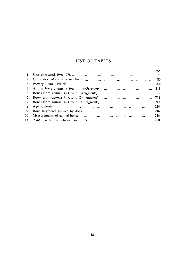# **LIST OF TABLES**

 $\ddot{\phantom{0}}$ 

|                                                                                                                           |  |  |  |  | Page |
|---------------------------------------------------------------------------------------------------------------------------|--|--|--|--|------|
|                                                                                                                           |  |  |  |  |      |
|                                                                                                                           |  |  |  |  |      |
|                                                                                                                           |  |  |  |  |      |
| 4. Animal bone fragments found in each group                                                                              |  |  |  |  |      |
| 5. Bones from animals in Group I (fragments)         212                                                                  |  |  |  |  |      |
| 6. Bones from animals in Group II (fragments)          212                                                                |  |  |  |  |      |
| 7. Bones from animals in Group III (fragments)         213                                                                |  |  |  |  |      |
|                                                                                                                           |  |  |  |  |      |
|                                                                                                                           |  |  |  |  |      |
| 10. Measurements of animal bones and the contract of the contract of animal bones and contract of the contract of the 226 |  |  |  |  |      |
|                                                                                                                           |  |  |  |  |      |

 $\bar{\mathbf{r}}$ 

 $\bar{\bar{t}}$ 

 $\bar{z}$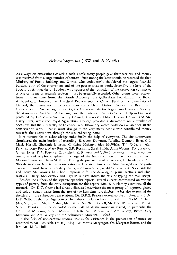#### Acknowledgements (JSW and ADMcW)

As always on excavations covering such a scale many people gave their services, and money was received from a large number of sources. First among the latter should be recorded the then Ministry of Public Building and Works, who undoubtedly shouldered the largest financial burden, both of the excavations and of the post-excavation work. Secondly, the help of the Society of Antiquaries of London, who sponsored the formation of the excavation committee as One of its major research projects, must be gratefully recorded. Other grants were received from time to time from: the British Academy, the Gulbenkian Foundation, the Royal Archaeological Institue, the Haverfield Bequest and the Craven Fund of the University of Oxford, the University of Leicester, Cirencester Urban District Council, the Bristol and Gloucestershire Archaeological Society, the Cirencester Archaeological and Historical Society, the Association for Cultural Exchange and the Cotswold District Council. Help in kind was provided by Gloucestershire County Council, Cirencester Urban District Council and Mr. Harry Pitts, while the Royal Agricultural College provided a dark-room on a number of occasions and the University of Leicester made laboratory accommodation available for all the conservation work. Thanks must also go to the very many people who contributed money towards the excavations through the site collecting boxes.

It is impossible to acknowledge individually the help of everyone. The site supervisors shouldered the main burden of recording: Elizabeth Dowrnan, Rosalind Dunnett, Brian Gill, Mark Hassall, Sheclagh Johnson, Christine Mahany, Alan McWhirr, T.]. O'Leary, Alan Perkins, Tony Poole, Mary Rennie, S.P. Roskams, Sarah Smith, Anna Wacher. Tony Pacitto, Gillian Jones, R.A. Fagcnce, C. Birchell, R. Rumens and Colin Shuttleworth have, at various times, served as photographers. In charge of the finds shed, on different occasions, were Marion Owers and Helen McWhirr. During the preparation of the reports, J. Thawley and Ann Woods successively acted as conservators at Leicester University. Also engaged on the postexcavation work have been Valery Rigby, and Linda Viner; whilst Peter Wright, Nick Griffiths and Tony McCormick have been responsible for the drawing of plans, sections and illustrations.: Cheryl McCormick and Phyl Muir have shared the task of typing the manuscript.

Besides the authors of the separate specialist reports, several experts commented on various types of pottery from the early occupation for this report. Mrs. K.F. Hartley examined all the rnortaria. Dr. K.T. Greene had already discussed elsewhere the main group of imported glazed and colour-coated wares from the area of the Lcaholme fort ditches; he has also examined the sherds from the subsequent excavations. Dr. D.P.S. Peacock examined the amphorae, and Dr. D.F. Williams the Iron Age pottery. In addition, help has been received from Ms M. Darling, Mrs. V.S. Swan, Mr. P. Arthur, Ms]. Wills, Mr. W.J. Britnell, Mr.·P.V. Webster, and Mr. A. Vince. Thanks must be extended to the staff of all the museums visited, in particular the Corinium Museum, Stroud Museum, Cheltenham Museum and Art Gallery, Bristol City Museum and Art Gallery and the Ashmolean Museum, Oxford.

In the field of non-ceramic studies, thanks for assistance in the preparation of notes arc recorded to Mr. Leo Biek, Dr. R.J. King, Dr. Morna Macgregor, Dr. Margaret Roxan, and the late Mr. M.R. Hull.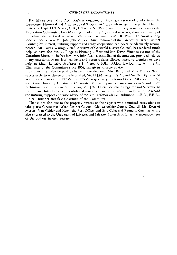For fifteen years Miss D.M. Radway organised an invaluable service of guides from the Cirenccster Historical and Archaeological Society, with great advantage to the public. The late Instructor Capt. H.S. Gracie, C.B., F.S.A., R.N. (Retd.) was, for many years, secretary to the Excavation Committee; later Miss Joyce Barker, F.S.A., as local secretary, shouldered many of the administrative burdens, which latterly were assumed by Mr. K. Povah. Foremost among local supporters was Mr. John Jefferies, sometime Chairman of the Cirencester Urban District Council; his interest, untiring support and ready cooperation can never be adequately recompensed. Mr. Derek Waring, Chief Executive of Cotswold District Council, has rendered much help, as have also Mr. T. Ridge as Planning Officer and Mr. David Viner as curator of the Corinium Museum. Before him, Mr. John Real, as custodian of the museum, provided help on many occasions. Many local residents and business firms allowed access to premises or gave help in kind. Latterly, Professor S.S. Frere, C.B.E., D.Litt., Litt.D., F.B.A., F.S.A., Chairman of the Committee since 1966, has given valuable advice.

Tribute must also be paid to helpers now deceased; Mrs. Petty and Miss Eleanor Waite successively took charge of the finds shed; Mr. H.J.M. Petty, F.S.A., and Mr. W. Blythe acted as site accountants from 1961-63 and 1964-66 respectively; Professor Donald Atkinson, F.S.A., sometime Honorary Curator of Cirencester Museum, provided museum services and made preliminary identifications of the coins; Mr. J.W. Elliott, sometime Engineer and Surveyor to the Urban District Council, contributed much help and information. Finally we must record the untiring support and wise advice of the late Professor Sir Ian Richmond, C.B.E., F.B.A., P.S.A., founder and first Chairman of the Committee.

Thanks are also due to the property owners or their agents who permitted excavations to take place: Cirencestcr Urban District Council, Gloucestcrshirc County Council, Mr. Keen of Messrs. Van Gelder and Keen, the Post Office, and Eric Coles and Partners. Our thanks are also expressed to the University of Leicester and Leicester Polytechnic for active encouragement of the authors in their research.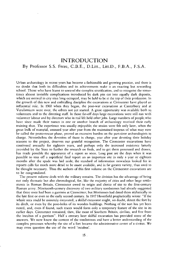# **INTRODUCTION**

# By Professor 5.5. Frere, C.B.E., D.Litt., Litt.D., F.B.A., F.S.A.

Urban archaeology in recent years has become a fashionable and growing practice, and there is no doubt that both its difficulties and its achievements make it an exacting but rewarding school. Those who have learnt to unravel the complex stratification, and to recognise the sometimes almost invisible complications introduced by dark pits cut into equally dark deposits, which are normal in city sites long occupied, may be held to be at the top of their profession. In the growth of this new and enthralling discipline the excavations at Circncestcr have played an influential role. In 1960 when they began, the post-war excavations at Canterbury and at Verulamium were over, the others not yet started. A great opportunity was available both to volunteers and to the directing staff. In those far-off days large excavations were still run with volunteer labour and by directors who in real life held other jobs. Large numbers of people. who have since made their names in one or another branch of archaeology received their early training thus. The experience was usually enjoyable; the strains were fclt only later, when the great bulk of material, amassed year after year from the maintained impetus of what may now be called the proto-rescue phase, proved an excessive burden on the part-time archaeologists in charge. Nevertheless the devotion of those in charge, year after year devoting their holiday seasons to the project, deserves our grateful recognition. The Cirencester excavations have continued annually for eighteen years, and perhaps only the increased assistance latterly provided by the State to further the research on finds, and to get them processed and drawn, has made possible the appearance of a report so soon. Long past are the days when it was possible to toss off a superficial final report on an important site in only a year or eighteen months after the spade was laid aside; the standard of information nowadays looked for in reports calls for much more detail to be made available. and in far greater variety, than used to be thought necessary. Thus the authors of this first volume on the Cirencester excavations are to be congratulated.

The present volume deals with the military remains. The division has the advantage of being not only thematic but also chronological, for, like the majority of cities and other large settlements in Roman Britain, Cirencester owed its origin and choice of site to the first-century Roman army. Nineteenth-century discovery of two military tombstones had already suggested that there once had been a garrison at Cirencestcr; but Mornmsen had dated them stylistically to the late first or even to the early second century. In 1917 Haverfield prophetically wrote: "If the whole area could be minutely excavated, a skilful excavator might, no doubt, detect the fort by its ditch, or even by the post-holes of its wooden buildings. Nothing of the sort has yet been noted, and, even if found, such traces would form only a temporary feature of the site in its earlier days. Circncestcr remained, then, like most of Southern Britain, civilian, and free from the incubus of a garrison". Half a century later skilful excavation has provided some of the answers. We now know the eontext of the tombstones and have a berter understanding of the complex processes whereby the site of a fort became the administrative centre of a civitas. We may even question the use of the word 'incubus'.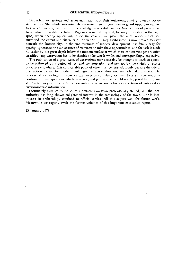But urban archaeology and rescue excavation have their limitations; a living town cannot be stripped nor 'the whole area minutely excavated', and it continues to guard important secrets. In this volume a great advance of knowledge is revealed, and we have a basis of proven fact from which to watch the future. Vigilance is indeed required, for only excavation at the right spot, when fleeting opportunity offers the chance, will pierce the uncertainties which still surround the extent and character of the various military establishments now proved to exist beneath the Roman city. In the circumstances of modem development it is fatally easy for apathy, ignorance or plain absence of resources to miss these opportunities, and the task is made no easier by the great depth below the modem surface at which these earliest vestiges are often stratified; any excavation has to be sizeable to be worth while, and correspondingly expensive.

The publication of a great series of excavations may excusably be thought to mark an epoch, to be followed by a period of rest and contemplation, and perhaps by the switch of scarce resources elsewhere. This comfortable point of view must be resisted, if only because the tide of destruction caused by modem building-construction does not similarly take a siesta. The process of archaeological discovery can never be complete, for fresh facts and new outlooks continue to raise questions which were not, and perhaps even could not be, posed before, just as new techniques offer better opportunities of recovering a broader spectrum of historical or environmental information.

Fortunately Cirencester possesses a first-class museum professionally staffed, and the local authority has long shown enlightened interest in the archaeology of the town. Nor is local interest in archaeology confined to official circles. All this augurs well for future work. Meanwhile we eagerly await the further volumes of this important excavation report.

25 January 1978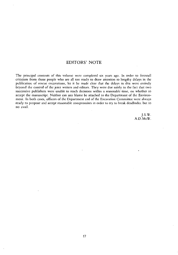#### **EDITORS' NOTE**

The principal contents of this volume were completed six years ago. In order to forestall criticism from those people who are all too ready to draw attention to lengthy delays **in** the publication of rescue excavations, let it be made clear that the delays in this were entirely beyond the control of the joint writers and editors. They were due solely to the fact that two successive publishers were unable to reach decisions within a reasonable time, on whether to accept the manuscript. Neither can any blame be attached to the Department of the Environment. In both cases, officers of the Department and of the Excavation Committee were always ready to propose and accept reasonable compromises in order to try to break deadlocks: but to no avail.

> ].S.W. A.D.McW.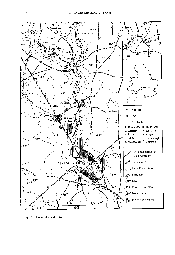

Fig. 1. Circnester and district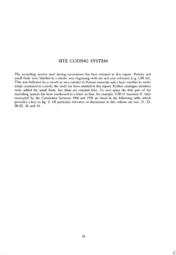#### **SITE CODING SYSTEM**

The recording system used during excavations has been retained **in** this report. Pottery and small finds were labelled in a similar way beginning with site and year reference (e.g. CIR 61). This was followed by a trench or area number in Roman numerals and a layer number **in** arabic script contained in a circle; the circle has been omitted in this report. Further catalogue numbers were added for small finds, but these are omitted here. To save space the first part of the recording system has been condensed to a letter so that, for example, CIR 61 becomes A. Sites excavated by the Committee between 1960' and 1976 arc listed in the following table which provides a key to fig. 2. Of particular relevance to discussions in this volume are nos. 21, 23, 28-32, 36 and 41.  $\mathbb{R}^2$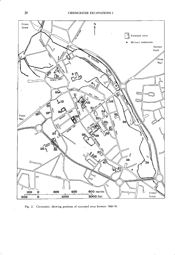

Fig. 2. Cirencester, showing positions of excavated areas between 1960-76

 $\bar{z}$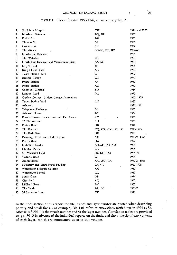#### TABLE 1: Sites excavated 1960-1976, to accompany fig. 2.

| 1.   | St. John's Hospital                         | CW                 | 1971 and 1976 |
|------|---------------------------------------------|--------------------|---------------|
| 2.   | Northern Defences                           | BQ, BR             | 1965          |
| 3.   | Dollar St.                                  | BW                 | 1966          |
| 4.   | Thomas St.                                  | <b>BS</b>          | 1966          |
| 5.   | Coxwell St.                                 | AP                 | 1962          |
| 6.   | The Abbey                                   | BG-BP, BT, BV      | 1964-66       |
| 7.   | North-East Defences                         |                    | 1966          |
| 8.   | The Waterloo                                | CK                 | 1968          |
| 9.   | North-East Defences and Verulamium Gate     | AA-AC              | 1960          |
| 10.  | Lloyds Bank                                 | BF                 | 1964          |
| 11.  | King's Head Yard                            | AZ                 | 1963          |
| 12.  | Town Station Yard                           | CF                 | 1967          |
| 13.  | <b>Bridges Garage</b>                       | ${\sf CR}$         | 1970          |
| 14.  | Police Station                              | AS                 | 1962          |
| 15.  | Police Station                              | AR                 | 1962          |
| 16.  | Gaumont Cinema                              | <b>BD</b>          | 1964          |
| 17.  | London Road                                 | DС                 | 1973          |
| 18.  | Oakley Cottage, Bridges Garage observations |                    | 1960, 1975    |
| 19.  | Town Station Yard                           | <b>CN</b>          | 1967          |
| 20.  | Ashcroft                                    |                    | 1951, 1961    |
| 21.  | Telephone Exchange                          | BВ                 | 1963          |
| 22.  | Ashcroft House                              | BE                 | 1964          |
| 23.  | Forum between Lewis Lane and The Avenue     | AY                 | 1963          |
| 24.  | 17 The Avenue                               | AH                 | 1968          |
| 25.  | Purley Road                                 | DB                 | 1972          |
| 26.  | The Beeches                                 | CQ, CX, CY, DE, DF | $1970 - 1973$ |
| 27.  | The Bath Gate                               | DX                 | 1975          |
| 28.  | Parsonage Field, and Health Centre          | AX                 | 1958-9, 1963  |
| 29.  | Price's Row                                 | DA                 | 1972          |
| 30.  | Leaholme Garden                             | AD-AH, AK-AM       | 1961          |
| 31.  | <b>Chester Mews</b>                         | BС                 | 1964          |
| 32.  | St. Michael's Field                         | DG-DN, DQ          | 1974-76       |
| 33.  | Victoria Road                               | CJ                 | 1968          |
| 34.  | Amphitheatre                                | AN, AU, CA         | 1962-3, 1966  |
| 35.  | Cemetery and Extra-mural building           | CS, CT             | 1969-1975     |
| 36.  | Watermoor Hospital Gardens                  | AW                 | 1963          |
| 37.  | Watermoor School                            | CC                 | 1967          |
| 38.  | South Gate                                  | DP                 | 1974          |
| 39.1 | City Bank                                   | AQ                 | 1962          |
| 40.  | Midland Road                                | BY                 | 1967          |
| 41.  | The Sands                                   | BZ, BG             | 1966-7        |
| 42.  | 36 Stepstairs Lane                          | ${\rm CV}$         | 1971          |

**In** the finds section of this report the site, trench and layer number arc quoted when describing pottery and small finds. For example, OK I 81 refers to excavations carried out in 1974 at St. Michael's Field, I is the trench number and 81 the layer number. Correlation tables are provided on pp. *80-3* in advance of the individual reports on the finds, and show the significant contents of each layer, which are commented upon in this volume.